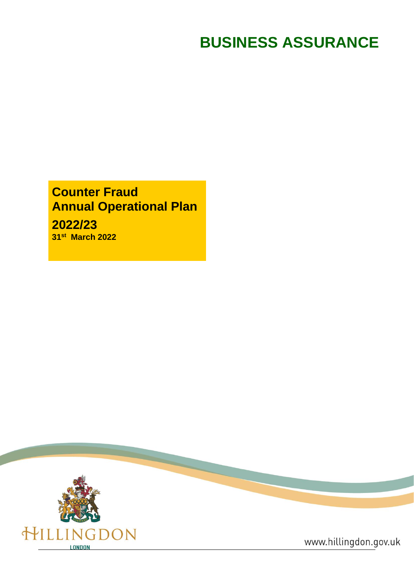# **BUSINESS ASSURANCE**

# **Counter Fraud Annual Operational Plan**

**2022/23 31st March 2022**

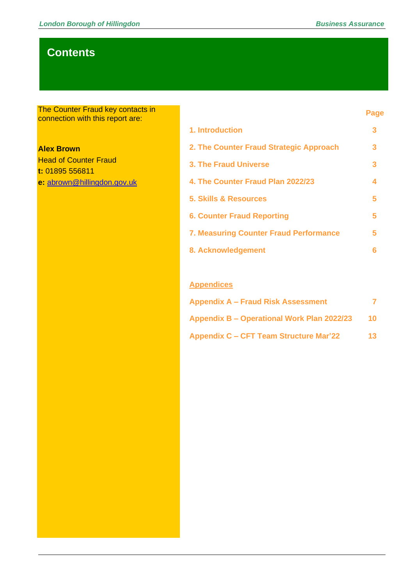### **Contents**

The Counter Fraud key contacts in connection with this report are:

**Alex Brown Head of Counter Fraud t:** 01895 556811 **e:** [abrown@hillingdon.gov.uk](mailto:abrown@hillingdon.gov.uk)

#### **Page**

| 1. Introduction                               |   |
|-----------------------------------------------|---|
| 2. The Counter Fraud Strategic Approach       | 3 |
| <b>3. The Fraud Universe</b>                  | 3 |
| 4. The Counter Fraud Plan 2022/23             | 4 |
| <b>5. Skills &amp; Resources</b>              | 5 |
| <b>6. Counter Fraud Reporting</b>             | 5 |
| <b>7. Measuring Counter Fraud Performance</b> | 5 |
| 8. Acknowledgement                            |   |

#### **Appendices**

| <b>Appendix A – Fraud Risk Assessment</b>     | 7   |
|-----------------------------------------------|-----|
| Appendix B - Operational Work Plan 2022/23    | 10  |
| <b>Appendix C – CFT Team Structure Mar'22</b> | 13. |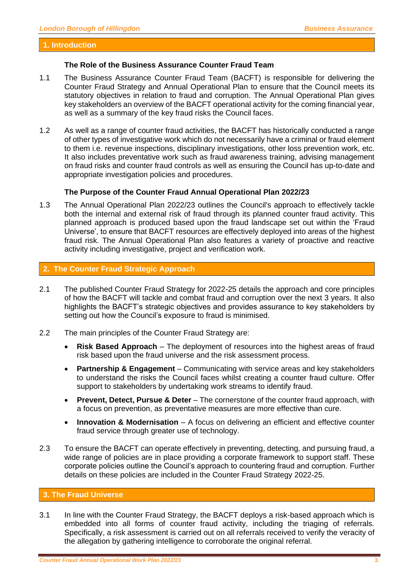#### **1. Introduction**

#### **The Role of the Business Assurance Counter Fraud Team**

- 1.1 The Business Assurance Counter Fraud Team (BACFT) is responsible for delivering the Counter Fraud Strategy and Annual Operational Plan to ensure that the Council meets its statutory objectives in relation to fraud and corruption. The Annual Operational Plan gives key stakeholders an overview of the BACFT operational activity for the coming financial year, as well as a summary of the key fraud risks the Council faces.
- 1.2 As well as a range of counter fraud activities, the BACFT has historically conducted a range of other types of investigative work which do not necessarily have a criminal or fraud element to them i.e. revenue inspections, disciplinary investigations, other loss prevention work, etc. It also includes preventative work such as fraud awareness training, advising management on fraud risks and counter fraud controls as well as ensuring the Council has up-to-date and appropriate investigation policies and procedures.

#### **The Purpose of the Counter Fraud Annual Operational Plan 2022/23**

1.3 The Annual Operational Plan 2022/23 outlines the Council's approach to effectively tackle both the internal and external risk of fraud through its planned counter fraud activity. This planned approach is produced based upon the fraud landscape set out within the 'Fraud Universe', to ensure that BACFT resources are effectively deployed into areas of the highest fraud risk. The Annual Operational Plan also features a variety of proactive and reactive activity including investigative, project and verification work.

#### **2. The Counter Fraud Strategic Approach**

- 2.1 The published Counter Fraud Strategy for 2022-25 details the approach and core principles of how the BACFT will tackle and combat fraud and corruption over the next 3 years. It also highlights the BACFT's strategic objectives and provides assurance to key stakeholders by setting out how the Council's exposure to fraud is minimised.
- 2.2 The main principles of the Counter Fraud Strategy are:
	- **Risk Based Approach**  The deployment of resources into the highest areas of fraud risk based upon the fraud universe and the risk assessment process.
	- **Partnership & Engagement** Communicating with service areas and key stakeholders to understand the risks the Council faces whilst creating a counter fraud culture. Offer support to stakeholders by undertaking work streams to identify fraud.
	- **Prevent, Detect, Pursue & Deter**  The cornerstone of the counter fraud approach, with a focus on prevention, as preventative measures are more effective than cure.
	- **Innovation & Modernisation**  A focus on delivering an efficient and effective counter fraud service through greater use of technology.
- 2.3 To ensure the BACFT can operate effectively in preventing, detecting, and pursuing fraud, a wide range of policies are in place providing a corporate framework to support staff. These corporate policies outline the Council's approach to countering fraud and corruption. Further details on these policies are included in the Counter Fraud Strategy 2022-25.

#### **3. The Fraud Universe**

3.1 In line with the Counter Fraud Strategy, the BACFT deploys a risk-based approach which is embedded into all forms of counter fraud activity, including the triaging of referrals. Specifically, a risk assessment is carried out on all referrals received to verify the veracity of the allegation by gathering intelligence to corroborate the original referral.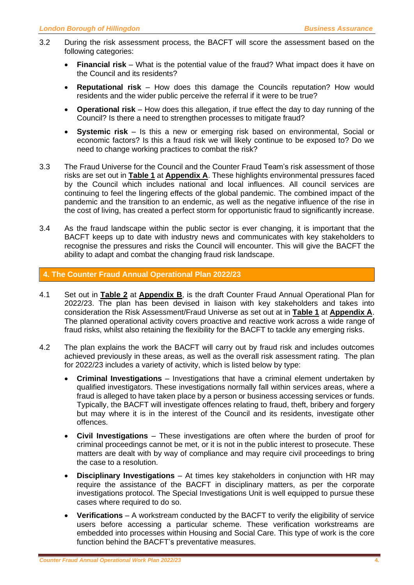- 3.2 During the risk assessment process, the BACFT will score the assessment based on the following categories:
	- **Financial risk** What is the potential value of the fraud? What impact does it have on the Council and its residents?
	- **Reputational risk**  How does this damage the Councils reputation? How would residents and the wider public perceive the referral if it were to be true?
	- **Operational risk**  How does this allegation, if true effect the day to day running of the Council? Is there a need to strengthen processes to mitigate fraud?
	- **Systemic risk** Is this a new or emerging risk based on environmental, Social or economic factors? Is this a fraud risk we will likely continue to be exposed to? Do we need to change working practices to combat the risk?
- 3.3 The Fraud Universe for the Council and the Counter Fraud Team's risk assessment of those risks are set out in **Table 1** at **Appendix A**. These highlights environmental pressures faced by the Council which includes national and local influences. All council services are continuing to feel the lingering effects of the global pandemic. The combined impact of the pandemic and the transition to an endemic, as well as the negative influence of the rise in the cost of living, has created a perfect storm for opportunistic fraud to significantly increase.
- 3.4 As the fraud landscape within the public sector is ever changing, it is important that the BACFT keeps up to date with industry news and communicates with key stakeholders to recognise the pressures and risks the Council will encounter. This will give the BACFT the ability to adapt and combat the changing fraud risk landscape.

#### **4. The Counter Fraud Annual Operational Plan 2022/23**

- 4.1 Set out in **Table 2** at **Appendix B**, is the draft Counter Fraud Annual Operational Plan for 2022/23. The plan has been devised in liaison with key stakeholders and takes into consideration the Risk Assessment/Fraud Universe as set out at in **Table 1** at **Appendix A**. The planned operational activity covers proactive and reactive work across a wide range of fraud risks, whilst also retaining the flexibility for the BACFT to tackle any emerging risks.
- 4.2 The plan explains the work the BACFT will carry out by fraud risk and includes outcomes achieved previously in these areas, as well as the overall risk assessment rating. The plan for 2022/23 includes a variety of activity, which is listed below by type:
	- **Criminal Investigations**  Investigations that have a criminal element undertaken by qualified investigators. These investigations normally fall within services areas, where a fraud is alleged to have taken place by a person or business accessing services or funds. Typically, the BACFT will investigate offences relating to fraud, theft, bribery and forgery but may where it is in the interest of the Council and its residents, investigate other offences.
	- **Civil Investigations**  These investigations are often where the burden of proof for criminal proceedings cannot be met, or it is not in the public interest to prosecute. These matters are dealt with by way of compliance and may require civil proceedings to bring the case to a resolution.
	- **Disciplinary Investigations**  At times key stakeholders in conjunction with HR may require the assistance of the BACFT in disciplinary matters, as per the corporate investigations protocol. The Special Investigations Unit is well equipped to pursue these cases where required to do so.
	- **Verifications**  A workstream conducted by the BACFT to verify the eligibility of service users before accessing a particular scheme. These verification workstreams are embedded into processes within Housing and Social Care. This type of work is the core function behind the BACFT's preventative measures.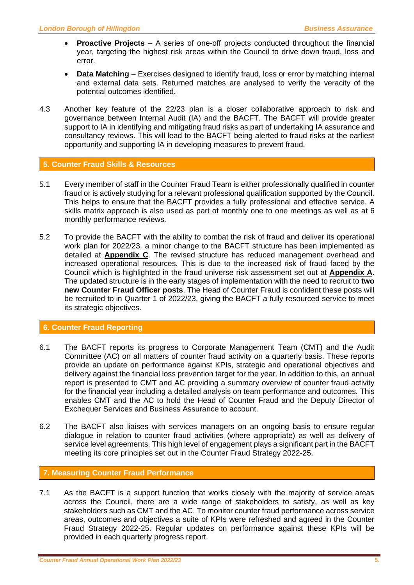- **Proactive Projects** A series of one-off projects conducted throughout the financial year, targeting the highest risk areas within the Council to drive down fraud, loss and error.
- **Data Matching** Exercises designed to identify fraud, loss or error by matching internal and external data sets. Returned matches are analysed to verify the veracity of the potential outcomes identified.
- 4.3 Another key feature of the 22/23 plan is a closer collaborative approach to risk and governance between Internal Audit (IA) and the BACFT. The BACFT will provide greater support to IA in identifying and mitigating fraud risks as part of undertaking IA assurance and consultancy reviews. This will lead to the BACFT being alerted to fraud risks at the earliest opportunity and supporting IA in developing measures to prevent fraud.

#### **5. Counter Fraud Skills & Resources**

- 5.1 Every member of staff in the Counter Fraud Team is either professionally qualified in counter fraud or is actively studying for a relevant professional qualification supported by the Council. This helps to ensure that the BACFT provides a fully professional and effective service. A skills matrix approach is also used as part of monthly one to one meetings as well as at 6 monthly performance reviews.
- 5.2 To provide the BACFT with the ability to combat the risk of fraud and deliver its operational work plan for 2022/23, a minor change to the BACFT structure has been implemented as detailed at **Appendix C**. The revised structure has reduced management overhead and increased operational resources. This is due to the increased risk of fraud faced by the Council which is highlighted in the fraud universe risk assessment set out at **Appendix A**. The updated structure is in the early stages of implementation with the need to recruit to **two new Counter Fraud Officer posts**. The Head of Counter Fraud is confident these posts will be recruited to in Quarter 1 of 2022/23, giving the BACFT a fully resourced service to meet its strategic objectives.

#### **6. Counter Fraud Reporting**

- 6.1 The BACFT reports its progress to Corporate Management Team (CMT) and the Audit Committee (AC) on all matters of counter fraud activity on a quarterly basis. These reports provide an update on performance against KPIs, strategic and operational objectives and delivery against the financial loss prevention target for the year. In addition to this, an annual report is presented to CMT and AC providing a summary overview of counter fraud activity for the financial year including a detailed analysis on team performance and outcomes. This enables CMT and the AC to hold the Head of Counter Fraud and the Deputy Director of Exchequer Services and Business Assurance to account.
- 6.2 The BACFT also liaises with services managers on an ongoing basis to ensure regular dialogue in relation to counter fraud activities (where appropriate) as well as delivery of service level agreements. This high level of engagement plays a significant part in the BACFT meeting its core principles set out in the Counter Fraud Strategy 2022-25.

#### **7. Measuring Counter Fraud Performance**

7.1 As the BACFT is a support function that works closely with the majority of service areas across the Council, there are a wide range of stakeholders to satisfy, as well as key stakeholders such as CMT and the AC. To monitor counter fraud performance across service areas, outcomes and objectives a suite of KPIs were refreshed and agreed in the Counter Fraud Strategy 2022-25. Regular updates on performance against these KPIs will be provided in each quarterly progress report.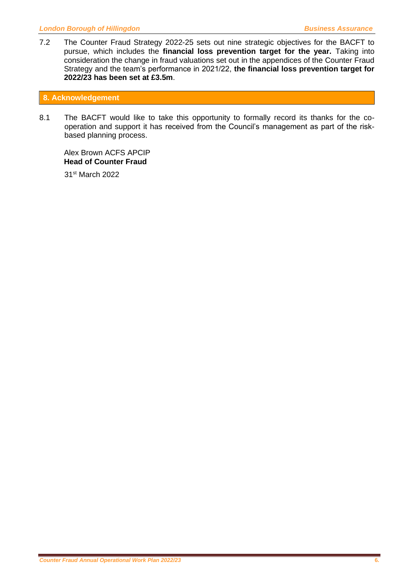7.2 The Counter Fraud Strategy 2022-25 sets out nine strategic objectives for the BACFT to pursue, which includes the **financial loss prevention target for the year.** Taking into consideration the change in fraud valuations set out in the appendices of the Counter Fraud Strategy and the team's performance in 2021/22, **the financial loss prevention target for 2022/23 has been set at £3.5m**.

#### **8. Acknowledgement**

8.1 The BACFT would like to take this opportunity to formally record its thanks for the cooperation and support it has received from the Council's management as part of the riskbased planning process.

Alex Brown ACFS APCIP **Head of Counter Fraud**

31st March 2022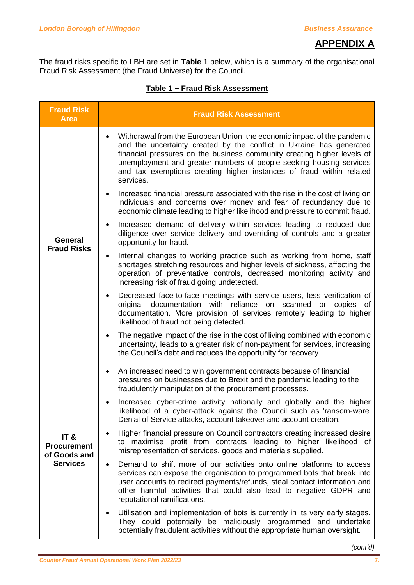### **APPENDIX A**

The fraud risks specific to LBH are set in **Table 1** below, which is a summary of the organisational Fraud Risk Assessment (the Fraud Universe) for the Council.

#### **Table 1 ~ Fraud Risk Assessment**

| <b>Fraud Risk</b><br><b>Area</b>                             | <b>Fraud Risk Assessment</b>                                                                                                                                                                                                                                                                                                                                                           |
|--------------------------------------------------------------|----------------------------------------------------------------------------------------------------------------------------------------------------------------------------------------------------------------------------------------------------------------------------------------------------------------------------------------------------------------------------------------|
|                                                              | Withdrawal from the European Union, the economic impact of the pandemic<br>and the uncertainty created by the conflict in Ukraine has generated<br>financial pressures on the business community creating higher levels of<br>unemployment and greater numbers of people seeking housing services<br>and tax exemptions creating higher instances of fraud within related<br>services. |
|                                                              | Increased financial pressure associated with the rise in the cost of living on<br>individuals and concerns over money and fear of redundancy due to<br>economic climate leading to higher likelihood and pressure to commit fraud.                                                                                                                                                     |
| <b>General</b>                                               | Increased demand of delivery within services leading to reduced due<br>diligence over service delivery and overriding of controls and a greater<br>opportunity for fraud.                                                                                                                                                                                                              |
| <b>Fraud Risks</b>                                           | Internal changes to working practice such as working from home, staff<br>٠<br>shortages stretching resources and higher levels of sickness, affecting the<br>operation of preventative controls, decreased monitoring activity and<br>increasing risk of fraud going undetected.                                                                                                       |
|                                                              | Decreased face-to-face meetings with service users, less verification of<br>$\bullet$<br>documentation<br>with reliance on scanned<br>original<br>or<br>copies<br>0f<br>documentation. More provision of services remotely leading to higher<br>likelihood of fraud not being detected.                                                                                                |
|                                                              | The negative impact of the rise in the cost of living combined with economic<br>$\bullet$<br>uncertainty, leads to a greater risk of non-payment for services, increasing<br>the Council's debt and reduces the opportunity for recovery.                                                                                                                                              |
|                                                              | An increased need to win government contracts because of financial<br>٠<br>pressures on businesses due to Brexit and the pandemic leading to the<br>fraudulently manipulation of the procurement processes.                                                                                                                                                                            |
| IT&<br><b>Procurement</b><br>of Goods and<br><b>Services</b> | Increased cyber-crime activity nationally and globally and the higher<br>$\bullet$<br>likelihood of a cyber-attack against the Council such as 'ransom-ware'<br>Denial of Service attacks, account takeover and account creation.                                                                                                                                                      |
|                                                              | Higher financial pressure on Council contractors creating increased desire<br>to maximise profit from contracts leading to higher likelihood of<br>misrepresentation of services, goods and materials supplied.                                                                                                                                                                        |
|                                                              | Demand to shift more of our activities onto online platforms to access<br>$\bullet$<br>services can expose the organisation to programmed bots that break into<br>user accounts to redirect payments/refunds, steal contact information and<br>other harmful activities that could also lead to negative GDPR and<br>reputational ramifications.                                       |
|                                                              | Utilisation and implementation of bots is currently in its very early stages.<br>They could potentially be maliciously programmed and undertake<br>potentially fraudulent activities without the appropriate human oversight.                                                                                                                                                          |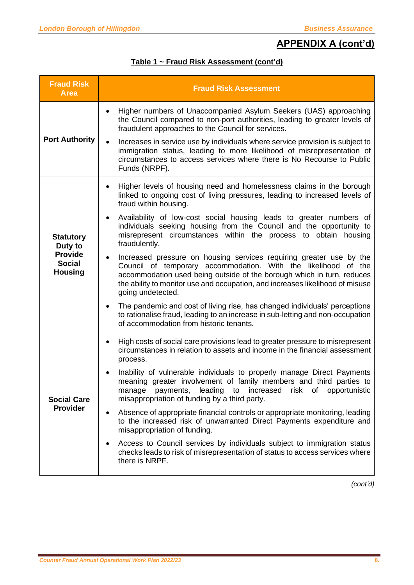# **APPENDIX A (cont'd)**

|  | Table 1 ~ Fraud Risk Assessment (cont'd) |  |
|--|------------------------------------------|--|
|  |                                          |  |

| <b>Fraud Risk</b><br><b>Area</b>                  | <b>Fraud Risk Assessment</b>                                                                                                                                                                                                                                                                                          |  |  |
|---------------------------------------------------|-----------------------------------------------------------------------------------------------------------------------------------------------------------------------------------------------------------------------------------------------------------------------------------------------------------------------|--|--|
| <b>Port Authority</b>                             | Higher numbers of Unaccompanied Asylum Seekers (UAS) approaching<br>$\bullet$<br>the Council compared to non-port authorities, leading to greater levels of<br>fraudulent approaches to the Council for services.<br>Increases in service use by individuals where service provision is subject to                    |  |  |
|                                                   | immigration status, leading to more likelihood of misrepresentation of<br>circumstances to access services where there is No Recourse to Public<br>Funds (NRPF).                                                                                                                                                      |  |  |
|                                                   | Higher levels of housing need and homelessness claims in the borough<br>linked to ongoing cost of living pressures, leading to increased levels of<br>fraud within housing.                                                                                                                                           |  |  |
| <b>Statutory</b><br>Duty to                       | Availability of low-cost social housing leads to greater numbers of<br>٠<br>individuals seeking housing from the Council and the opportunity to<br>misrepresent circumstances within the process to obtain housing<br>fraudulently.                                                                                   |  |  |
| <b>Provide</b><br><b>Social</b><br><b>Housing</b> | Increased pressure on housing services requiring greater use by the<br>Council of temporary accommodation. With the likelihood of the<br>accommodation used being outside of the borough which in turn, reduces<br>the ability to monitor use and occupation, and increases likelihood of misuse<br>going undetected. |  |  |
|                                                   | The pandemic and cost of living rise, has changed individuals' perceptions<br>to rationalise fraud, leading to an increase in sub-letting and non-occupation<br>of accommodation from historic tenants.                                                                                                               |  |  |
|                                                   | High costs of social care provisions lead to greater pressure to misrepresent<br>٠<br>circumstances in relation to assets and income in the financial assessment<br>process.                                                                                                                                          |  |  |
| <b>Social Care</b><br><b>Provider</b>             | Inability of vulnerable individuals to properly manage Direct Payments<br>meaning greater involvement of family members and third parties to<br>payments, leading<br>increased risk of opportunistic<br>to<br>manage<br>misappropriation of funding by a third party.                                                 |  |  |
|                                                   | Absence of appropriate financial controls or appropriate monitoring, leading<br>to the increased risk of unwarranted Direct Payments expenditure and<br>misappropriation of funding.                                                                                                                                  |  |  |
|                                                   | Access to Council services by individuals subject to immigration status<br>checks leads to risk of misrepresentation of status to access services where<br>there is NRPF.                                                                                                                                             |  |  |

*(cont'd)*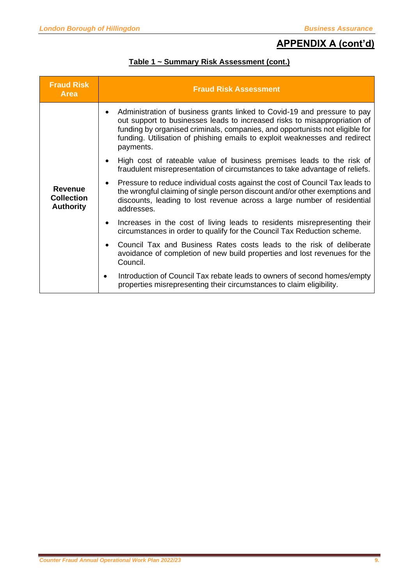## **APPENDIX A (cont'd)**

| <b>Fraud Risk</b><br>Area                               | <b>Fraud Risk Assessment</b>                                                                                                                                                                                                                                                                                                     |  |
|---------------------------------------------------------|----------------------------------------------------------------------------------------------------------------------------------------------------------------------------------------------------------------------------------------------------------------------------------------------------------------------------------|--|
|                                                         | Administration of business grants linked to Covid-19 and pressure to pay<br>out support to businesses leads to increased risks to misappropriation of<br>funding by organised criminals, companies, and opportunists not eligible for<br>funding. Utilisation of phishing emails to exploit weaknesses and redirect<br>payments. |  |
|                                                         | High cost of rateable value of business premises leads to the risk of<br>fraudulent misrepresentation of circumstances to take advantage of reliefs.                                                                                                                                                                             |  |
| <b>Revenue</b><br><b>Collection</b><br><b>Authority</b> | Pressure to reduce individual costs against the cost of Council Tax leads to<br>$\bullet$<br>the wrongful claiming of single person discount and/or other exemptions and<br>discounts, leading to lost revenue across a large number of residential<br>addresses.                                                                |  |
|                                                         | Increases in the cost of living leads to residents misrepresenting their<br>$\bullet$<br>circumstances in order to qualify for the Council Tax Reduction scheme.                                                                                                                                                                 |  |
|                                                         | Council Tax and Business Rates costs leads to the risk of deliberate<br>avoidance of completion of new build properties and lost revenues for the<br>Council.                                                                                                                                                                    |  |
|                                                         | Introduction of Council Tax rebate leads to owners of second homes/empty<br>$\bullet$<br>properties misrepresenting their circumstances to claim eligibility.                                                                                                                                                                    |  |

### **Table 1 ~ Summary Risk Assessment (cont.)**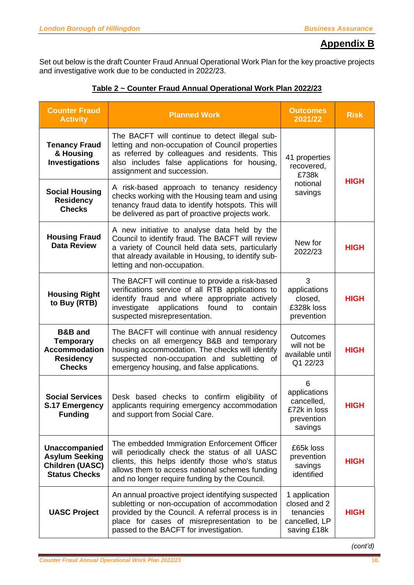### **Appendix B**

Set out below is the draft Counter Fraud Annual Operational Work Plan for the key proactive projects and investigative work due to be conducted in 2022/23.

| <b>Counter Fraud</b><br><b>Activity</b>                                                             | <b>Planned Work</b>                                                                                                                                                                                                                                  | <b>Outcomes</b><br>2021/22                                                 | <b>Risk</b> |
|-----------------------------------------------------------------------------------------------------|------------------------------------------------------------------------------------------------------------------------------------------------------------------------------------------------------------------------------------------------------|----------------------------------------------------------------------------|-------------|
| <b>Tenancy Fraud</b><br>& Housing<br><b>Investigations</b>                                          | The BACFT will continue to detect illegal sub-<br>letting and non-occupation of Council properties<br>as referred by colleagues and residents. This<br>also includes false applications for housing,<br>assignment and succession.                   | 41 properties<br>recovered,<br>£738k                                       |             |
| <b>Social Housing</b><br><b>Residency</b><br><b>Checks</b>                                          | A risk-based approach to tenancy residency<br>checks working with the Housing team and using<br>tenancy fraud data to identify hotspots. This will<br>be delivered as part of proactive projects work.                                               | notional<br>savings                                                        | <b>HIGH</b> |
| <b>Housing Fraud</b><br><b>Data Review</b>                                                          | A new initiative to analyse data held by the<br>Council to identify fraud. The BACFT will review<br>a variety of Council held data sets, particularly<br>that already available in Housing, to identify sub-<br>letting and non-occupation.          | New for<br>2022/23                                                         | <b>HIGH</b> |
| <b>Housing Right</b><br>to Buy (RTB)                                                                | The BACFT will continue to provide a risk-based<br>verifications service of all RTB applications to<br>identify fraud and where appropriate actively<br>investigate<br>applications<br>found<br>contain<br>to<br>suspected misrepresentation.        | 3<br>applications<br>closed,<br>£328k loss<br>prevention                   | <b>HIGH</b> |
| <b>B&amp;B</b> and<br><b>Temporary</b><br><b>Accommodation</b><br><b>Residency</b><br><b>Checks</b> | The BACFT will continue with annual residency<br>checks on all emergency B&B and temporary<br>housing accommodation. The checks will identify<br>suspected non-occupation and subletting of<br>emergency housing, and false applications.            | <b>Outcomes</b><br>will not be<br>available until<br>Q1 22/23              | <b>HIGH</b> |
| <b>Social Services</b><br>S.17 Emergency<br><b>Funding</b>                                          | Desk based checks to confirm eligibility of<br>applicants requiring emergency accommodation<br>and support from Social Care.                                                                                                                         | 6<br>applications<br>cancelled,<br>£72k in loss<br>prevention<br>savings   | <b>HIGH</b> |
| <b>Unaccompanied</b><br><b>Asylum Seeking</b><br><b>Children (UASC)</b><br><b>Status Checks</b>     | The embedded Immigration Enforcement Officer<br>will periodically check the status of all UASC<br>clients, this helps identify those who's status<br>allows them to access national schemes funding<br>and no longer require funding by the Council. | £65k loss<br>prevention<br>savings<br>identified                           | <b>HIGH</b> |
| <b>UASC Project</b>                                                                                 | An annual proactive project identifying suspected<br>subletting or non-occupation of accommodation<br>provided by the Council. A referral process is in<br>place for cases of misrepresentation to be<br>passed to the BACFT for investigation.      | 1 application<br>closed and 2<br>tenancies<br>cancelled, LP<br>saving £18k | <b>HIGH</b> |

#### **Table 2 ~ Counter Fraud Annual Operational Work Plan 2022/23**

*(cont'd)*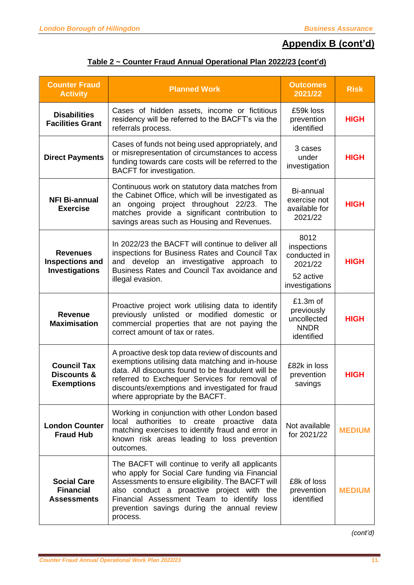# **Appendix B (cont'd)**

|  | Table 2 ~ Counter Fraud Annual Operational Plan 2022/23 (cont'd) |  |
|--|------------------------------------------------------------------|--|
|--|------------------------------------------------------------------|--|

| <b>Counter Fraud</b><br><b>Activity</b>                           | <b>Planned Work</b>                                                                                                                                                                                                                                                                                            | <b>Outcomes</b><br>2021/22                                                    | <b>Risk</b>   |
|-------------------------------------------------------------------|----------------------------------------------------------------------------------------------------------------------------------------------------------------------------------------------------------------------------------------------------------------------------------------------------------------|-------------------------------------------------------------------------------|---------------|
| <b>Disabilities</b><br><b>Facilities Grant</b>                    | Cases of hidden assets, income or fictitious<br>residency will be referred to the BACFT's via the<br>referrals process.                                                                                                                                                                                        | £59k loss<br>prevention<br>identified                                         | <b>HIGH</b>   |
| <b>Direct Payments</b>                                            | Cases of funds not being used appropriately, and<br>or misrepresentation of circumstances to access<br>funding towards care costs will be referred to the<br><b>BACFT</b> for investigation.                                                                                                                   | 3 cases<br>under<br>investigation                                             | <b>HIGH</b>   |
| <b>NFI Bi-annual</b><br><b>Exercise</b>                           | Continuous work on statutory data matches from<br>the Cabinet Office, which will be investigated as<br>ongoing project throughout 22/23. The<br>an<br>matches provide a significant contribution to<br>savings areas such as Housing and Revenues.                                                             | Bi-annual<br>exercise not<br>available for<br>2021/22                         | <b>HIGH</b>   |
| <b>Revenues</b><br><b>Inspections and</b><br>Investigations       | In 2022/23 the BACFT will continue to deliver all<br>inspections for Business Rates and Council Tax<br>and develop an investigative approach to<br>Business Rates and Council Tax avoidance and<br>illegal evasion.                                                                                            | 8012<br>inspections<br>conducted in<br>2021/22<br>52 active<br>investigations | <b>HIGH</b>   |
| <b>Revenue</b><br><b>Maximisation</b>                             | Proactive project work utilising data to identify<br>previously unlisted or modified domestic or<br>commercial properties that are not paying the<br>correct amount of tax or rates.                                                                                                                           | £1.3m of<br>previously<br>uncollected<br><b>NNDR</b><br>identified            | <b>HIGH</b>   |
| <b>Council Tax</b><br><b>Discounts &amp;</b><br><b>Exemptions</b> | A proactive desk top data review of discounts and<br>exemptions utilising data matching and in-house<br>data. All discounts found to be fraudulent will be<br>referred to Exchequer Services for removal of<br>discounts/exemptions and investigated for fraud<br>where appropriate by the BACFT.              | £82k in loss<br>prevention<br>savings                                         | <b>HIGH</b>   |
| <b>London Counter</b><br><b>Fraud Hub</b>                         | Working in conjunction with other London based<br>local authorities to create proactive data<br>matching exercises to identify fraud and error in<br>known risk areas leading to loss prevention<br>outcomes.                                                                                                  | Not available<br>for 2021/22                                                  | <b>MEDIUM</b> |
| <b>Social Care</b><br><b>Financial</b><br><b>Assessments</b>      | The BACFT will continue to verify all applicants<br>who apply for Social Care funding via Financial<br>Assessments to ensure eligibility. The BACFT will<br>also conduct a proactive project with the<br>Financial Assessment Team to identify loss<br>prevention savings during the annual review<br>process. | £8k of loss<br>prevention<br>identified                                       | <b>MEDIUM</b> |

*(cont'd)*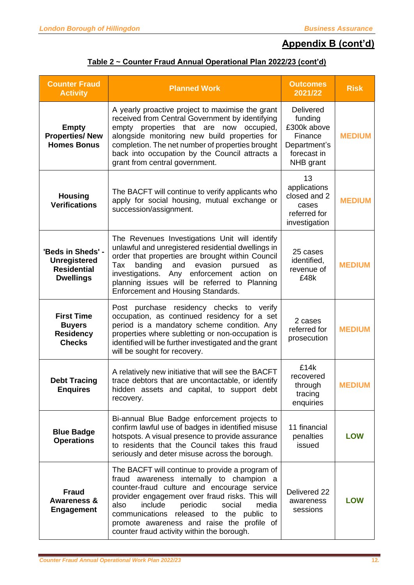# **Appendix B (cont'd)**

|--|

| <b>Counter Fraud</b><br><b>Activity</b>                                            | <b>Planned Work</b>                                                                                                                                                                                                                                                                                                                                                                           | <b>Outcomes</b><br>2021/22                                                                        | <b>Risk</b>   |
|------------------------------------------------------------------------------------|-----------------------------------------------------------------------------------------------------------------------------------------------------------------------------------------------------------------------------------------------------------------------------------------------------------------------------------------------------------------------------------------------|---------------------------------------------------------------------------------------------------|---------------|
| <b>Empty</b><br><b>Properties/New</b><br><b>Homes Bonus</b>                        | A yearly proactive project to maximise the grant<br>received from Central Government by identifying<br>empty properties that are now occupied,<br>alongside monitoring new build properties for<br>completion. The net number of properties brought<br>back into occupation by the Council attracts a<br>grant from central government.                                                       | <b>Delivered</b><br>funding<br>£300k above<br>Finance<br>Department's<br>forecast in<br>NHB grant | <b>MEDIUM</b> |
| <b>Housing</b><br><b>Verifications</b>                                             | The BACFT will continue to verify applicants who<br>apply for social housing, mutual exchange or<br>succession/assignment.                                                                                                                                                                                                                                                                    | 13<br>applications<br>closed and 2<br>cases<br>referred for<br>investigation                      | <b>MEDIUM</b> |
| 'Beds in Sheds' -<br><b>Unregistered</b><br><b>Residential</b><br><b>Dwellings</b> | The Revenues Investigations Unit will identify<br>unlawful and unregistered residential dwellings in<br>order that properties are brought within Council<br>and<br>evasion<br>Tax<br>banding<br>pursued<br>as<br>investigations. Any enforcement action<br>on<br>planning issues will be referred to Planning<br>Enforcement and Housing Standards.                                           | 25 cases<br>identified,<br>revenue of<br>£48k                                                     | <b>MEDIUM</b> |
| <b>First Time</b><br><b>Buyers</b><br><b>Residency</b><br><b>Checks</b>            | Post purchase residency checks to verify<br>occupation, as continued residency for a set<br>period is a mandatory scheme condition. Any<br>properties where subletting or non-occupation is<br>identified will be further investigated and the grant<br>will be sought for recovery.                                                                                                          | 2 cases<br>referred for<br>prosecution                                                            | <b>MEDIUM</b> |
| <b>Debt Tracing</b><br><b>Enquires</b>                                             | A relatively new initiative that will see the BACFT<br>trace debtors that are uncontactable, or identify<br>hidden assets and capital, to support debt<br>recovery.                                                                                                                                                                                                                           | £14k<br>recovered<br>through<br>tracing<br>enquiries                                              | <b>MEDIUM</b> |
| <b>Blue Badge</b><br><b>Operations</b>                                             | Bi-annual Blue Badge enforcement projects to<br>confirm lawful use of badges in identified misuse<br>hotspots. A visual presence to provide assurance<br>to residents that the Council takes this fraud<br>seriously and deter misuse across the borough.                                                                                                                                     | 11 financial<br>penalties<br>issued                                                               | <b>LOW</b>    |
| <b>Fraud</b><br><b>Awareness &amp;</b><br><b>Engagement</b>                        | The BACFT will continue to provide a program of<br>fraud awareness internally to champion a<br>counter-fraud culture and encourage service<br>provider engagement over fraud risks. This will<br>also<br>include<br>social<br>periodic<br>media<br>released to the public<br>communications<br>to<br>promote awareness and raise the profile of<br>counter fraud activity within the borough. | Delivered 22<br>awareness<br>sessions                                                             | <b>LOW</b>    |